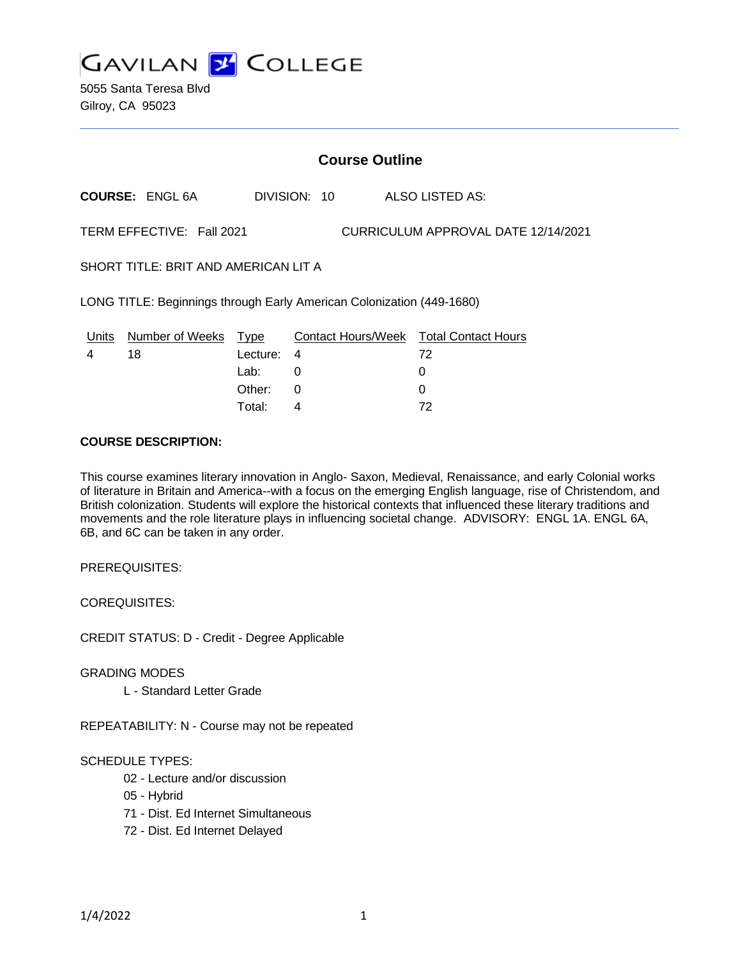

5055 Santa Teresa Blvd Gilroy, CA 95023

# **Course Outline**

**COURSE:** ENGL 6A DIVISION: 10 ALSO LISTED AS:

TERM EFFECTIVE: Fall 2021 CURRICULUM APPROVAL DATE 12/14/2021

SHORT TITLE: BRIT AND AMERICAN LIT A

LONG TITLE: Beginnings through Early American Colonization (449-1680)

| Units | Number of Weeks Type |            | <b>Contact Hours/Week Total Contact Hours</b> |    |
|-------|----------------------|------------|-----------------------------------------------|----|
|       | 18                   | Lecture: 4 |                                               | 72 |
|       |                      | Lab:       |                                               |    |
|       |                      | Other: 0   |                                               |    |
|       |                      | Total:     |                                               | 72 |

### **COURSE DESCRIPTION:**

This course examines literary innovation in Anglo- Saxon, Medieval, Renaissance, and early Colonial works of literature in Britain and America--with a focus on the emerging English language, rise of Christendom, and British colonization. Students will explore the historical contexts that influenced these literary traditions and movements and the role literature plays in influencing societal change. ADVISORY: ENGL 1A. ENGL 6A, 6B, and 6C can be taken in any order.

PREREQUISITES:

COREQUISITES:

CREDIT STATUS: D - Credit - Degree Applicable

GRADING MODES

L - Standard Letter Grade

REPEATABILITY: N - Course may not be repeated

# SCHEDULE TYPES:

- 02 Lecture and/or discussion
- 05 Hybrid
- 71 Dist. Ed Internet Simultaneous
- 72 Dist. Ed Internet Delayed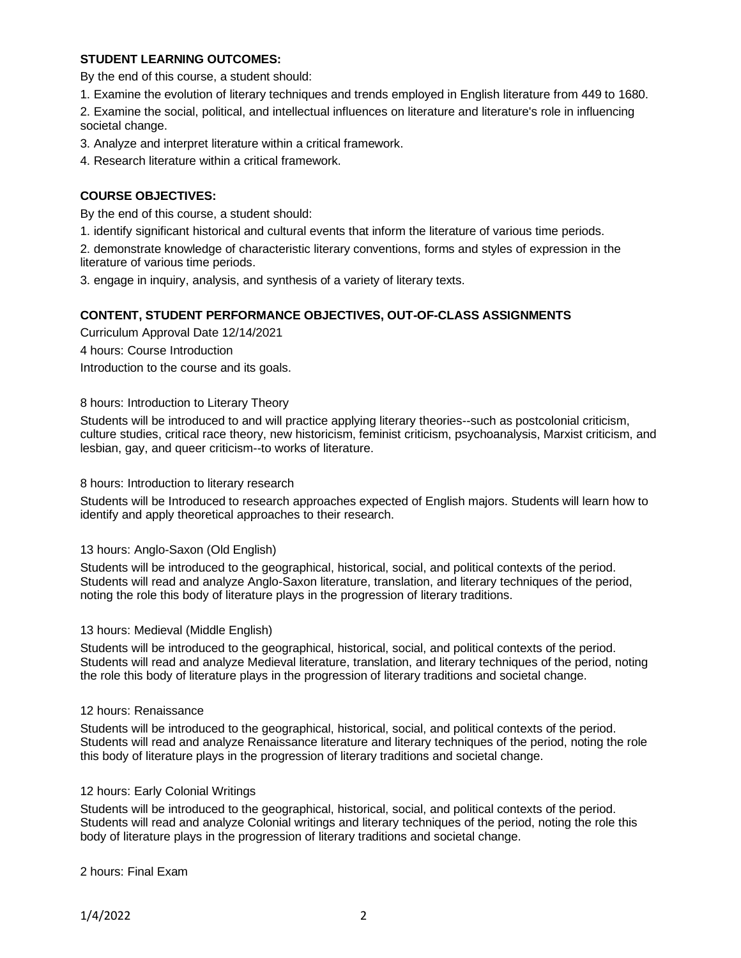# **STUDENT LEARNING OUTCOMES:**

By the end of this course, a student should:

1. Examine the evolution of literary techniques and trends employed in English literature from 449 to 1680.

2. Examine the social, political, and intellectual influences on literature and literature's role in influencing societal change.

3. Analyze and interpret literature within a critical framework.

4. Research literature within a critical framework.

# **COURSE OBJECTIVES:**

By the end of this course, a student should:

1. identify significant historical and cultural events that inform the literature of various time periods.

2. demonstrate knowledge of characteristic literary conventions, forms and styles of expression in the literature of various time periods.

3. engage in inquiry, analysis, and synthesis of a variety of literary texts.

# **CONTENT, STUDENT PERFORMANCE OBJECTIVES, OUT-OF-CLASS ASSIGNMENTS**

Curriculum Approval Date 12/14/2021 4 hours: Course Introduction Introduction to the course and its goals.

### 8 hours: Introduction to Literary Theory

Students will be introduced to and will practice applying literary theories--such as postcolonial criticism, culture studies, critical race theory, new historicism, feminist criticism, psychoanalysis, Marxist criticism, and lesbian, gay, and queer criticism--to works of literature.

8 hours: Introduction to literary research

Students will be Introduced to research approaches expected of English majors. Students will learn how to identify and apply theoretical approaches to their research.

#### 13 hours: Anglo-Saxon (Old English)

Students will be introduced to the geographical, historical, social, and political contexts of the period. Students will read and analyze Anglo-Saxon literature, translation, and literary techniques of the period, noting the role this body of literature plays in the progression of literary traditions.

#### 13 hours: Medieval (Middle English)

Students will be introduced to the geographical, historical, social, and political contexts of the period. Students will read and analyze Medieval literature, translation, and literary techniques of the period, noting the role this body of literature plays in the progression of literary traditions and societal change.

#### 12 hours: Renaissance

Students will be introduced to the geographical, historical, social, and political contexts of the period. Students will read and analyze Renaissance literature and literary techniques of the period, noting the role this body of literature plays in the progression of literary traditions and societal change.

#### 12 hours: Early Colonial Writings

Students will be introduced to the geographical, historical, social, and political contexts of the period. Students will read and analyze Colonial writings and literary techniques of the period, noting the role this body of literature plays in the progression of literary traditions and societal change.

2 hours: Final Exam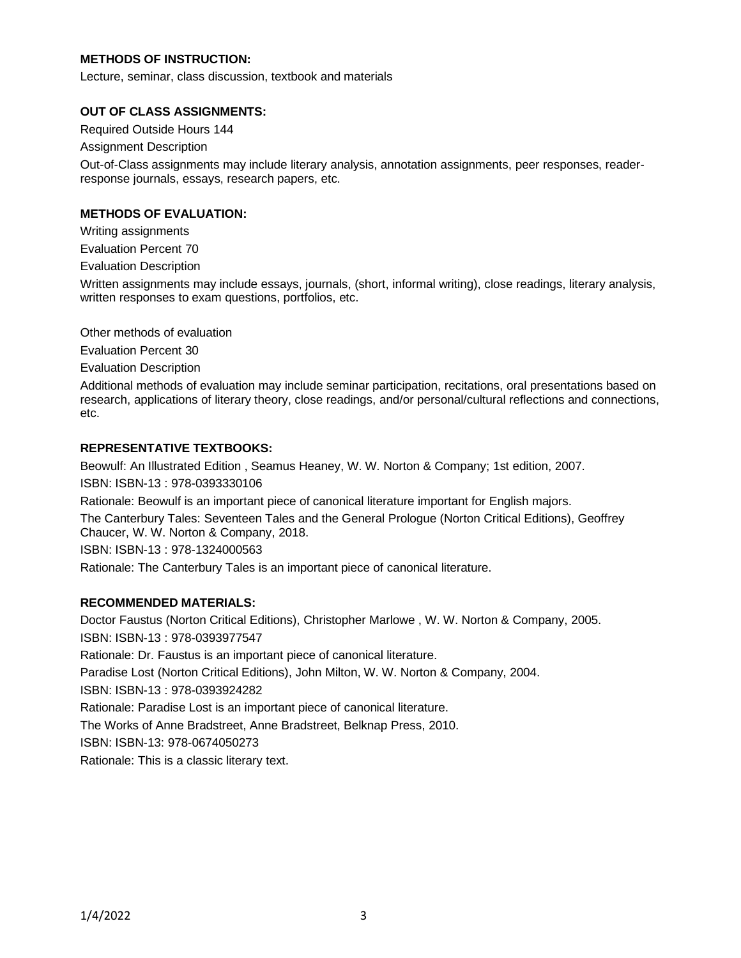# **METHODS OF INSTRUCTION:**

Lecture, seminar, class discussion, textbook and materials

## **OUT OF CLASS ASSIGNMENTS:**

Required Outside Hours 144

Assignment Description

Out-of-Class assignments may include literary analysis, annotation assignments, peer responses, readerresponse journals, essays, research papers, etc.

# **METHODS OF EVALUATION:**

Writing assignments

Evaluation Percent 70

Evaluation Description

Written assignments may include essays, journals, (short, informal writing), close readings, literary analysis, written responses to exam questions, portfolios, etc.

Other methods of evaluation

Evaluation Percent 30

Evaluation Description

Additional methods of evaluation may include seminar participation, recitations, oral presentations based on research, applications of literary theory, close readings, and/or personal/cultural reflections and connections, etc.

# **REPRESENTATIVE TEXTBOOKS:**

Beowulf: An Illustrated Edition , Seamus Heaney, W. W. Norton & Company; 1st edition, 2007. ISBN: ISBN-13 : 978-0393330106

Rationale: Beowulf is an important piece of canonical literature important for English majors.

The Canterbury Tales: Seventeen Tales and the General Prologue (Norton Critical Editions), Geoffrey Chaucer, W. W. Norton & Company, 2018.

ISBN: ISBN-13 : 978-1324000563

Rationale: The Canterbury Tales is an important piece of canonical literature.

# **RECOMMENDED MATERIALS:**

Doctor Faustus (Norton Critical Editions), Christopher Marlowe , W. W. Norton & Company, 2005. ISBN: ISBN-13 : 978-0393977547 Rationale: Dr. Faustus is an important piece of canonical literature. Paradise Lost (Norton Critical Editions), John Milton, W. W. Norton & Company, 2004. ISBN: ISBN-13 : 978-0393924282 Rationale: Paradise Lost is an important piece of canonical literature. The Works of Anne Bradstreet, Anne Bradstreet, Belknap Press, 2010. ISBN: ISBN-13: 978-0674050273 Rationale: This is a classic literary text.